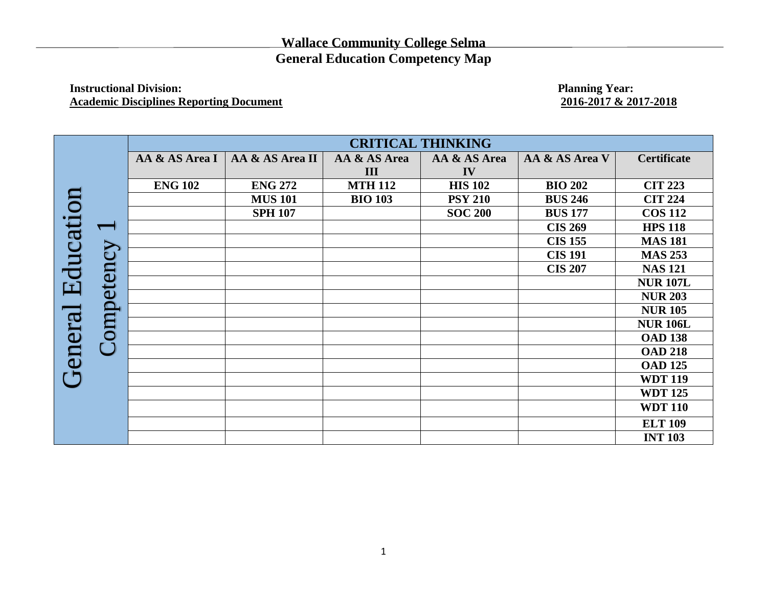## **Wallace Community College Selma General Education Competency Map**

## **Instructional Division:** Planning Year: Planning Year: Planning Year: Planning Year: 2016-2017 & 2017-2018 **Academic Disciplines Reporting Document**

|                      | ompetency | <b>CRITICAL THINKING</b> |                 |                |                |                |                    |  |
|----------------------|-----------|--------------------------|-----------------|----------------|----------------|----------------|--------------------|--|
|                      |           | AA & AS Area I           | AA & AS Area II | AA & AS Area   | AA & AS Area   | AA & AS Area V | <b>Certificate</b> |  |
|                      |           |                          |                 | III            | IV             |                |                    |  |
|                      |           | <b>ENG 102</b>           | <b>ENG 272</b>  | <b>MTH 112</b> | <b>HIS 102</b> | <b>BIO 202</b> | <b>CIT 223</b>     |  |
|                      |           |                          | <b>MUS 101</b>  | <b>BIO 103</b> | <b>PSY 210</b> | <b>BUS 246</b> | <b>CIT 224</b>     |  |
|                      |           |                          | <b>SPH 107</b>  |                | <b>SOC 200</b> | <b>BUS 177</b> | <b>COS 112</b>     |  |
|                      |           |                          |                 |                |                | <b>CIS 269</b> | <b>HPS 118</b>     |  |
|                      |           |                          |                 |                |                | <b>CIS 155</b> | <b>MAS 181</b>     |  |
| Education<br>General |           |                          |                 |                |                | <b>CIS 191</b> | <b>MAS 253</b>     |  |
|                      |           |                          |                 |                |                | <b>CIS 207</b> | <b>NAS 121</b>     |  |
|                      |           |                          |                 |                |                |                | <b>NUR 107L</b>    |  |
|                      |           |                          |                 |                |                |                | <b>NUR 203</b>     |  |
|                      |           |                          |                 |                |                |                | <b>NUR 105</b>     |  |
|                      |           |                          |                 |                |                |                | <b>NUR 106L</b>    |  |
|                      |           |                          |                 |                |                |                | <b>OAD 138</b>     |  |
|                      | $\cup$    |                          |                 |                |                |                | <b>OAD 218</b>     |  |
|                      |           |                          |                 |                |                |                | <b>OAD 125</b>     |  |
|                      |           |                          |                 |                |                |                | <b>WDT 119</b>     |  |
|                      |           |                          |                 |                |                |                | <b>WDT 125</b>     |  |
|                      |           |                          |                 |                |                |                | <b>WDT 110</b>     |  |
|                      |           |                          |                 |                |                |                | <b>ELT 109</b>     |  |
|                      |           |                          |                 |                |                |                | <b>INT 103</b>     |  |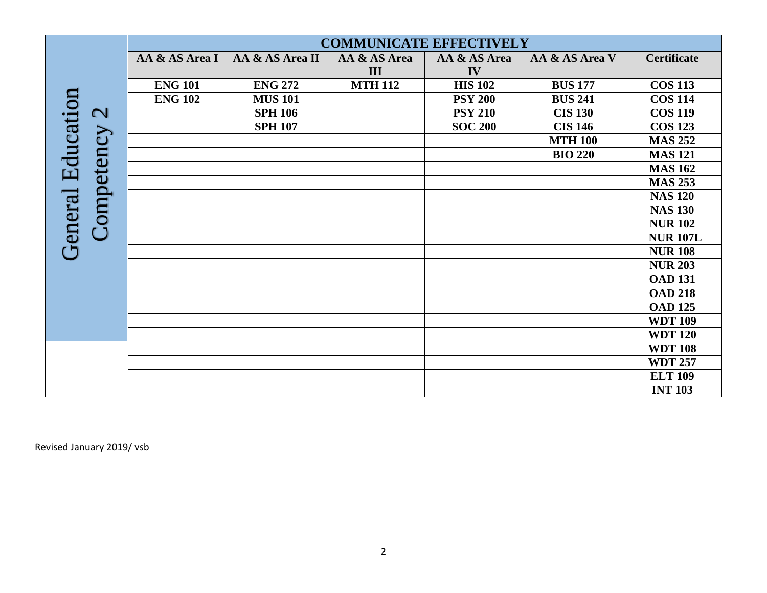|                                        | <b>COMMUNICATE EFFECTIVELY</b> |                 |                     |                    |                |                    |
|----------------------------------------|--------------------------------|-----------------|---------------------|--------------------|----------------|--------------------|
|                                        | AA & AS Area I                 | AA & AS Area II | AA & AS Area<br>III | AA & AS Area<br>IV | AA & AS Area V | <b>Certificate</b> |
|                                        | <b>ENG 101</b>                 | <b>ENG 272</b>  | <b>MTH 112</b>      | <b>HIS 102</b>     | <b>BUS 177</b> | <b>COS 113</b>     |
|                                        | <b>ENG 102</b>                 | <b>MUS 101</b>  |                     | <b>PSY 200</b>     | <b>BUS 241</b> | <b>COS 114</b>     |
| $\mathbf{C}$                           |                                | <b>SPH 106</b>  |                     | <b>PSY 210</b>     | <b>CIS 130</b> | <b>COS 119</b>     |
|                                        |                                | <b>SPH 107</b>  |                     | <b>SOC 200</b>     | <b>CIS 146</b> | <b>COS 123</b>     |
|                                        |                                |                 |                     |                    | <b>MTH 100</b> | <b>MAS 252</b>     |
|                                        |                                |                 |                     |                    | <b>BIO 220</b> | <b>MAS 121</b>     |
| <b>General Education</b><br>Competency |                                |                 |                     |                    |                | <b>MAS 162</b>     |
|                                        |                                |                 |                     |                    |                | <b>MAS 253</b>     |
|                                        |                                |                 |                     |                    |                | <b>NAS 120</b>     |
|                                        |                                |                 |                     |                    |                | <b>NAS 130</b>     |
|                                        |                                |                 |                     |                    |                | <b>NUR102</b>      |
|                                        |                                |                 |                     |                    |                | <b>NUR 107L</b>    |
|                                        |                                |                 |                     |                    |                | <b>NUR108</b>      |
|                                        |                                |                 |                     |                    |                | <b>NUR 203</b>     |
|                                        |                                |                 |                     |                    |                | <b>OAD 131</b>     |
|                                        |                                |                 |                     |                    |                | <b>OAD 218</b>     |
|                                        |                                |                 |                     |                    |                | <b>OAD 125</b>     |
|                                        |                                |                 |                     |                    |                | <b>WDT 109</b>     |
|                                        |                                |                 |                     |                    |                | <b>WDT 120</b>     |
|                                        |                                |                 |                     |                    |                | <b>WDT 108</b>     |
|                                        |                                |                 |                     |                    |                | <b>WDT 257</b>     |
|                                        |                                |                 |                     |                    |                | <b>ELT 109</b>     |
|                                        |                                |                 |                     |                    |                | <b>INT 103</b>     |
| Revised January 2019/ vsb              |                                |                 |                     |                    |                |                    |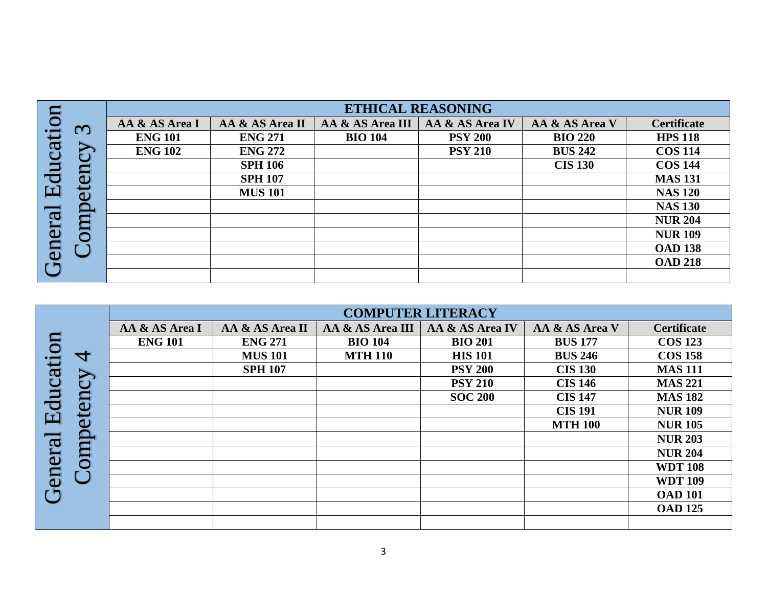|           | $\omega$<br><b>GO</b><br>$\mathbf 0$ | <b>ETHICAL REASONING</b> |                 |                  |                 |                |                    |  |  |
|-----------|--------------------------------------|--------------------------|-----------------|------------------|-----------------|----------------|--------------------|--|--|
| Education |                                      | AA & AS Area I           | AA & AS Area II | AA & AS Area III | AA & AS Area IV | AA & AS Area V | <b>Certificate</b> |  |  |
|           |                                      | <b>ENG 101</b>           | <b>ENG 271</b>  | <b>BIO 104</b>   | <b>PSY 200</b>  | <b>BIO 220</b> | <b>HPS 118</b>     |  |  |
|           |                                      | <b>ENG 102</b>           | <b>ENG 272</b>  |                  | <b>PSY 210</b>  | <b>BUS 242</b> | <b>COS 114</b>     |  |  |
|           |                                      |                          | <b>SPH 106</b>  |                  |                 | <b>CIS 130</b> | <b>COS 144</b>     |  |  |
|           |                                      |                          | <b>SPH 107</b>  |                  |                 |                | <b>MAS 131</b>     |  |  |
|           |                                      |                          | <b>MUS 101</b>  |                  |                 |                | <b>NAS 120</b>     |  |  |
|           |                                      |                          |                 |                  |                 |                | <b>NAS 130</b>     |  |  |
|           |                                      |                          |                 |                  |                 |                | <b>NUR 204</b>     |  |  |
|           |                                      |                          |                 |                  |                 |                | <b>NUR 109</b>     |  |  |
| General   |                                      |                          |                 |                  |                 |                | <b>OAD 138</b>     |  |  |
|           |                                      |                          |                 |                  |                 |                | <b>OAD 218</b>     |  |  |
|           |                                      |                          |                 |                  |                 |                |                    |  |  |

|                      | 4<br>$\sum$<br>ల<br><b>GD</b><br>Đ<br>duro | <b>COMPUTER LITERACY</b> |                 |                  |                 |                |                    |  |
|----------------------|--------------------------------------------|--------------------------|-----------------|------------------|-----------------|----------------|--------------------|--|
| Education<br>General |                                            | AA & AS Area I           | AA & AS Area II | AA & AS Area III | AA & AS Area IV | AA & AS Area V | <b>Certificate</b> |  |
|                      |                                            | <b>ENG 101</b>           | <b>ENG 271</b>  | <b>BIO 104</b>   | <b>BIO 201</b>  | <b>BUS 177</b> | <b>COS 123</b>     |  |
|                      |                                            |                          | <b>MUS 101</b>  | <b>MTH 110</b>   | <b>HIS 101</b>  | <b>BUS 246</b> | <b>COS 158</b>     |  |
|                      |                                            |                          | <b>SPH 107</b>  |                  | <b>PSY 200</b>  | <b>CIS 130</b> | <b>MAS 111</b>     |  |
|                      |                                            |                          |                 |                  | <b>PSY 210</b>  | <b>CIS 146</b> | <b>MAS 221</b>     |  |
|                      |                                            |                          |                 |                  | <b>SOC 200</b>  | <b>CIS 147</b> | <b>MAS 182</b>     |  |
|                      |                                            |                          |                 |                  |                 | <b>CIS 191</b> | <b>NUR 109</b>     |  |
|                      |                                            |                          |                 |                  |                 | <b>MTH 100</b> | <b>NUR 105</b>     |  |
|                      |                                            |                          |                 |                  |                 |                | <b>NUR 203</b>     |  |
|                      |                                            |                          |                 |                  |                 |                | <b>NUR 204</b>     |  |
|                      |                                            |                          |                 |                  |                 |                | <b>WDT 108</b>     |  |
|                      |                                            |                          |                 |                  |                 |                | <b>WDT 109</b>     |  |
|                      |                                            |                          |                 |                  |                 |                | <b>OAD 101</b>     |  |
|                      |                                            |                          |                 |                  |                 |                | <b>OAD 125</b>     |  |
|                      |                                            |                          |                 |                  |                 |                |                    |  |